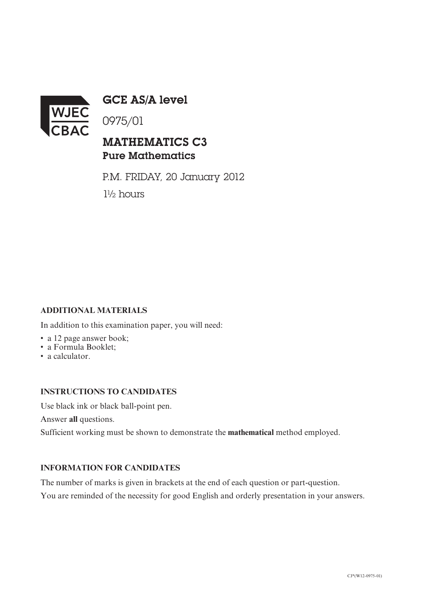

GCE AS/A level

0975/01

## MATHEMATICS C3 Pure Mathematics

P.M. FRIDAY, 20 January 2012 1½ hours

### **ADDITIONAL MATERIALS**

In addition to this examination paper, you will need:

- a 12 page answer book:
- a Formula Booklet;
- a calculator.

#### **INSTRUCTIONS TO CANDIDATES**

Use black ink or black ball-point pen.

Answer **all** questions.

Sufficient working must be shown to demonstrate the **mathematical** method employed.

#### **INFORMATION FOR CANDIDATES**

The number of marks is given in brackets at the end of each question or part-question.

You are reminded of the necessity for good English and orderly presentation in your answers.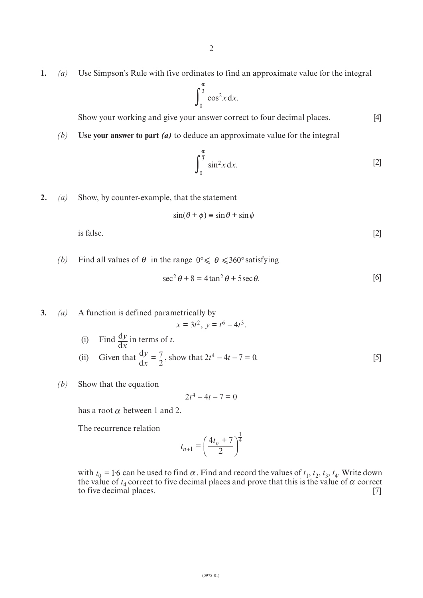**1.** *(a)* Use Simpson's Rule with five ordinates to find an approximate value for the integral

$$
\int_0^{\frac{\pi}{3}} \cos^2 x \, dx.
$$

Show your working and give your answer correct to four decimal places. [4]

*(b)* **Use your answer to part** *(a)* to deduce an approximate value for the integral

$$
\int_0^{\frac{\pi}{3}} \sin^2 x \, dx. \tag{2}
$$

**2.** *(a)* Show, by counter-example, that the statement

$$
\sin(\theta + \phi) \equiv \sin \theta + \sin \phi
$$

is false.  $[2]$ 

*(b)* Find all values of  $\theta$  in the range  $0^{\circ} \le \theta \le 360^{\circ}$  satisfying

$$
\sec^2 \theta + 8 = 4 \tan^2 \theta + 5 \sec \theta. \tag{6}
$$

**3.** *(a)* A function is defined parametrically by (i) Find  $\frac{dy}{dx}$  in terms of *t*.  $x = 3t^2$ ,  $y = t^6 - 4t^3$ . d *y x*

- (ii) Given that  $\frac{dy}{dx} = \frac{7}{2}$ , show that  $2t^4 4t 7 = 0$ . [5] d  $\frac{y}{x} = \frac{7}{2}$ , show that  $2t^4 - 4t - 7 = 0$
- *(b)* Show that the equation

$$
2t^4 - 4t - 7 = 0
$$

has a root  $\alpha$  between 1 and 2.

The recurrence relation

$$
t_{n+1} = \left(\frac{4t_n + 7}{2}\right)^{\frac{1}{4}}
$$

with  $t_0 = 1.6$  can be used to find  $\alpha$ . Find and record the values of  $t_1, t_2, t_3, t_4$ . Write down the value of  $t_4$  correct to five decimal places and prove that this is the value of  $\alpha$  correct to five decimal places. [7]  $t_0 = 1.6$  can be used to find  $\alpha$ α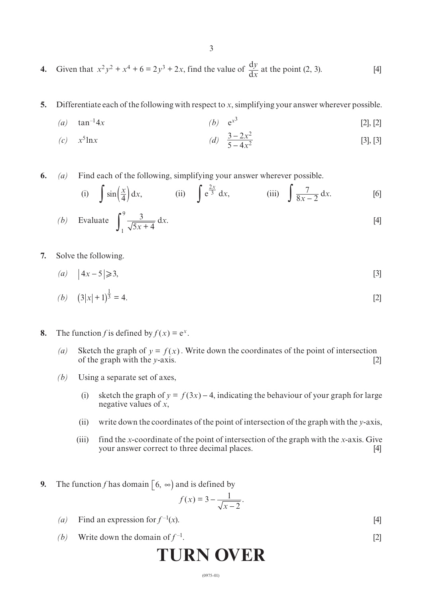- 3
- **4.** Given that  $x^2y^2 + x^4 + 6 = 2y^3 + 2x$ , find the value of  $\frac{dy}{dx}$  at the point (2, 3). [4] *y x*
- **5.** Differentiate each of the following with respect to *x*, simplifying your answer wherever possible.
	- (a)  $\tan^{-1}4x$  (b)  $e^{x^3}$  [2], [2]

(c) 
$$
x^5 \ln x
$$
 (d)  $\frac{3-2x^2}{5-4x^2}$  [3], [3]

**6.** *(a)* Find each of the following, simplifying your answer wherever possible.

(i) 
$$
\int \sin\left(\frac{x}{4}\right) dx
$$
, (ii)  $\int e^{\frac{2x}{3}} dx$ , (iii)  $\int \frac{7}{8x - 2} dx$ . [6]

(b) Evaluate 
$$
\int_{1}^{9} \frac{3}{\sqrt{5x+4}} dx.
$$
 [4]

- **7.** Solve the following.
	- $(a) |4x-5| \ge 3,$  [3]

(b) 
$$
(3|x|+1)^{\frac{1}{3}} = 4.
$$
 [2]

- **8.** The function *f* is defined by  $f(x) = e^x$ .
	- (*a*) Sketch the graph of  $y = f(x)$ . Write down the coordinates of the point of intersection of the graph with the *y*-axis. [2]
	- *(b)* Using a separate set of axes,
		- (i) sketch the graph of  $y = f(3x) 4$ , indicating the behaviour of your graph for large negative values of *x*,
		- (ii) write down the coordinates of the point of intersection of the graph with the *y*-axis,
		- (iii) find the *x*-coordinate of the point of intersection of the graph with the *x*-axis. Give your answer correct to three decimal places. [4]
- **9.** The function *f* has domain  $\begin{bmatrix} 6, \infty \end{bmatrix}$  and is defined by

$$
f(x) = 3 - \frac{1}{\sqrt{x-2}}.
$$

- (a) Find an expression for  $f^{-1}(x)$ . [4]
- *(b)* Write down the domain of  $f^{-1}$ . [2]

# **TURN OVER**